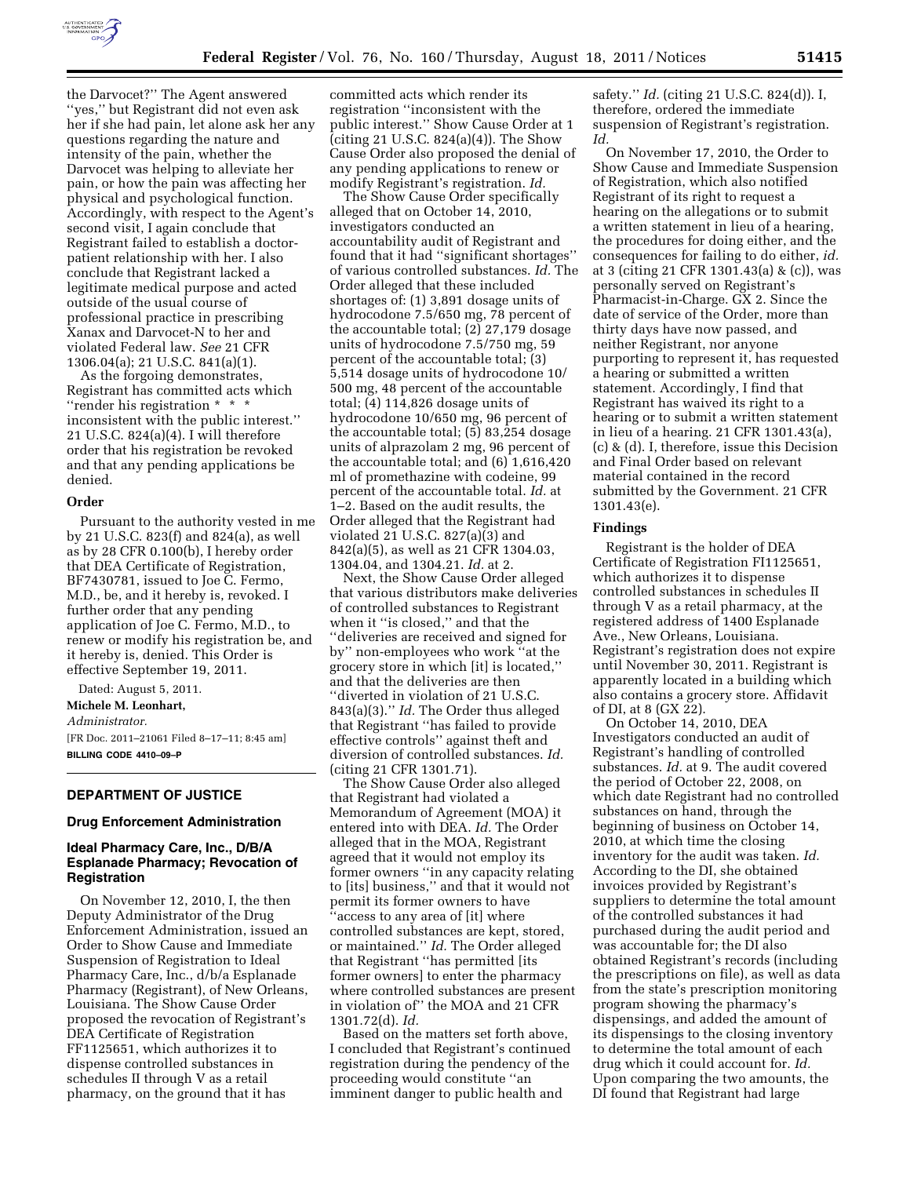

the Darvocet?'' The Agent answered ''yes,'' but Registrant did not even ask her if she had pain, let alone ask her any questions regarding the nature and intensity of the pain, whether the Darvocet was helping to alleviate her pain, or how the pain was affecting her physical and psychological function. Accordingly, with respect to the Agent's second visit, I again conclude that Registrant failed to establish a doctorpatient relationship with her. I also conclude that Registrant lacked a legitimate medical purpose and acted outside of the usual course of professional practice in prescribing Xanax and Darvocet-N to her and violated Federal law. *See* 21 CFR 1306.04(a); 21 U.S.C. 841(a)(1).

As the forgoing demonstrates, Registrant has committed acts which ''render his registration \* \* \* inconsistent with the public interest.'' 21 U.S.C. 824(a)(4). I will therefore order that his registration be revoked and that any pending applications be denied.

#### **Order**

Pursuant to the authority vested in me by 21 U.S.C. 823(f) and 824(a), as well as by 28 CFR 0.100(b), I hereby order that DEA Certificate of Registration, BF7430781, issued to Joe C. Fermo, M.D., be, and it hereby is, revoked. I further order that any pending application of Joe C. Fermo, M.D., to renew or modify his registration be, and it hereby is, denied. This Order is effective September 19, 2011.

Dated: August 5, 2011. **Michele M. Leonhart,**  *Administrator.*  [FR Doc. 2011–21061 Filed 8–17–11; 8:45 am] **BILLING CODE 4410–09–P** 

### **DEPARTMENT OF JUSTICE**

#### **Drug Enforcement Administration**

# **Ideal Pharmacy Care, Inc., D/B/A Esplanade Pharmacy; Revocation of Registration**

On November 12, 2010, I, the then Deputy Administrator of the Drug Enforcement Administration, issued an Order to Show Cause and Immediate Suspension of Registration to Ideal Pharmacy Care, Inc., d/b/a Esplanade Pharmacy (Registrant), of New Orleans, Louisiana. The Show Cause Order proposed the revocation of Registrant's DEA Certificate of Registration FF1125651, which authorizes it to dispense controlled substances in schedules II through V as a retail pharmacy, on the ground that it has

committed acts which render its registration ''inconsistent with the public interest.'' Show Cause Order at 1 (citing 21 U.S.C. 824(a)(4)). The Show Cause Order also proposed the denial of any pending applications to renew or modify Registrant's registration. *Id.* 

The Show Cause Order specifically alleged that on October 14, 2010, investigators conducted an accountability audit of Registrant and found that it had ''significant shortages'' of various controlled substances. *Id.* The Order alleged that these included shortages of: (1) 3,891 dosage units of hydrocodone 7.5/650 mg, 78 percent of the accountable total; (2) 27,179 dosage units of hydrocodone 7.5/750 mg, 59 percent of the accountable total; (3) 5,514 dosage units of hydrocodone 10/ 500 mg, 48 percent of the accountable total; (4) 114,826 dosage units of hydrocodone 10/650 mg, 96 percent of the accountable total; (5) 83,254 dosage units of alprazolam 2 mg, 96 percent of the accountable total; and (6) 1,616,420 ml of promethazine with codeine, 99 percent of the accountable total. *Id.* at 1–2. Based on the audit results, the Order alleged that the Registrant had violated 21 U.S.C. 827(a)(3) and 842(a)(5), as well as 21 CFR 1304.03, 1304.04, and 1304.21. *Id.* at 2.

Next, the Show Cause Order alleged that various distributors make deliveries of controlled substances to Registrant when it ''is closed,'' and that the ''deliveries are received and signed for by'' non-employees who work ''at the grocery store in which [it] is located,'' and that the deliveries are then ''diverted in violation of 21 U.S.C. 843(a)(3).'' *Id.* The Order thus alleged that Registrant ''has failed to provide effective controls'' against theft and diversion of controlled substances. *Id.*  (citing 21 CFR 1301.71).

The Show Cause Order also alleged that Registrant had violated a Memorandum of Agreement (MOA) it entered into with DEA. *Id.* The Order alleged that in the MOA, Registrant agreed that it would not employ its former owners ''in any capacity relating to [its] business,'' and that it would not permit its former owners to have ''access to any area of [it] where controlled substances are kept, stored, or maintained.'' *Id.* The Order alleged that Registrant ''has permitted [its former owners] to enter the pharmacy where controlled substances are present in violation of'' the MOA and 21 CFR 1301.72(d). *Id.* 

Based on the matters set forth above, I concluded that Registrant's continued registration during the pendency of the proceeding would constitute ''an imminent danger to public health and

safety.'' *Id.* (citing 21 U.S.C. 824(d)). I, therefore, ordered the immediate suspension of Registrant's registration. *Id.* 

On November 17, 2010, the Order to Show Cause and Immediate Suspension of Registration, which also notified Registrant of its right to request a hearing on the allegations or to submit a written statement in lieu of a hearing, the procedures for doing either, and the consequences for failing to do either, *id.*  at 3 (citing 21 CFR 1301.43(a) & (c)), was personally served on Registrant's Pharmacist-in-Charge. GX 2. Since the date of service of the Order, more than thirty days have now passed, and neither Registrant, nor anyone purporting to represent it, has requested a hearing or submitted a written statement. Accordingly, I find that Registrant has waived its right to a hearing or to submit a written statement in lieu of a hearing. 21 CFR 1301.43(a), (c) & (d). I, therefore, issue this Decision and Final Order based on relevant material contained in the record submitted by the Government. 21 CFR 1301.43(e).

### **Findings**

Registrant is the holder of DEA Certificate of Registration FI1125651, which authorizes it to dispense controlled substances in schedules II through V as a retail pharmacy, at the registered address of 1400 Esplanade Ave., New Orleans, Louisiana. Registrant's registration does not expire until November 30, 2011. Registrant is apparently located in a building which also contains a grocery store. Affidavit of DI, at 8 (GX 22).

On October 14, 2010, DEA Investigators conducted an audit of Registrant's handling of controlled substances. *Id.* at 9. The audit covered the period of October 22, 2008, on which date Registrant had no controlled substances on hand, through the beginning of business on October 14, 2010, at which time the closing inventory for the audit was taken. *Id.*  According to the DI, she obtained invoices provided by Registrant's suppliers to determine the total amount of the controlled substances it had purchased during the audit period and was accountable for; the DI also obtained Registrant's records (including the prescriptions on file), as well as data from the state's prescription monitoring program showing the pharmacy's dispensings, and added the amount of its dispensings to the closing inventory to determine the total amount of each drug which it could account for. *Id.*  Upon comparing the two amounts, the DI found that Registrant had large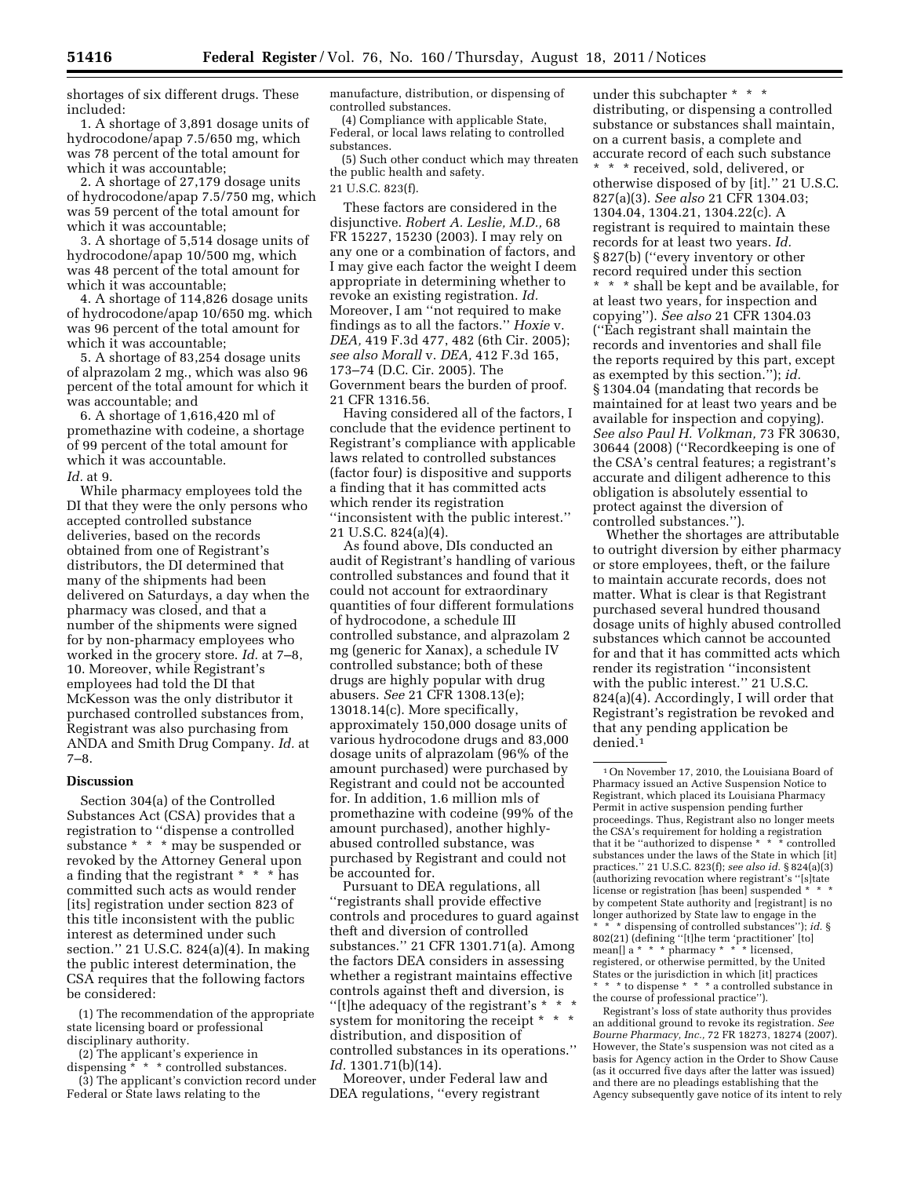shortages of six different drugs. These included:

1. A shortage of 3,891 dosage units of hydrocodone/apap 7.5/650 mg, which was 78 percent of the total amount for which it was accountable;

2. A shortage of 27,179 dosage units of hydrocodone/apap 7.5/750 mg, which was 59 percent of the total amount for which it was accountable;

3. A shortage of 5,514 dosage units of hydrocodone/apap 10/500 mg, which was 48 percent of the total amount for which it was accountable;

4. A shortage of 114,826 dosage units of hydrocodone/apap 10/650 mg. which was 96 percent of the total amount for which it was accountable;

5. A shortage of 83,254 dosage units of alprazolam 2 mg., which was also 96 percent of the total amount for which it was accountable; and

6. A shortage of 1,616,420 ml of promethazine with codeine, a shortage of 99 percent of the total amount for which it was accountable.

*Id.* at 9.

While pharmacy employees told the DI that they were the only persons who accepted controlled substance deliveries, based on the records obtained from one of Registrant's distributors, the DI determined that many of the shipments had been delivered on Saturdays, a day when the pharmacy was closed, and that a number of the shipments were signed for by non-pharmacy employees who worked in the grocery store. *Id.* at 7–8, 10. Moreover, while Registrant's employees had told the DI that McKesson was the only distributor it purchased controlled substances from, Registrant was also purchasing from ANDA and Smith Drug Company. *Id.* at 7–8.

### **Discussion**

Section 304(a) of the Controlled Substances Act (CSA) provides that a registration to ''dispense a controlled substance \* \* \* may be suspended or revoked by the Attorney General upon a finding that the registrant \* \* \* has committed such acts as would render [its] registration under section 823 of this title inconsistent with the public interest as determined under such section.'' 21 U.S.C. 824(a)(4). In making the public interest determination, the CSA requires that the following factors be considered:

(1) The recommendation of the appropriate state licensing board or professional disciplinary authority.

(2) The applicant's experience in  $\operatorname{dispensing}^{\textcolor{red}{\star} \textcolor{blue}{\star} \textcolor{red}{\star}}$   $\textcolor{red}{\star}$  controlled substances.

(3) The applicant's conviction record under Federal or State laws relating to the

manufacture, distribution, or dispensing of controlled substances.

(4) Compliance with applicable State, Federal, or local laws relating to controlled substances.

(5) Such other conduct which may threaten the public health and safety.

21 U.S.C. 823(f).

These factors are considered in the disjunctive. *Robert A. Leslie, M.D.,* 68 FR 15227, 15230 (2003). I may rely on any one or a combination of factors, and I may give each factor the weight I deem appropriate in determining whether to revoke an existing registration. *Id.*  Moreover, I am ''not required to make findings as to all the factors.'' *Hoxie* v. *DEA,* 419 F.3d 477, 482 (6th Cir. 2005); *see also Morall* v. *DEA,* 412 F.3d 165, 173–74 (D.C. Cir. 2005). The Government bears the burden of proof. 21 CFR 1316.56.

Having considered all of the factors, I conclude that the evidence pertinent to Registrant's compliance with applicable laws related to controlled substances (factor four) is dispositive and supports a finding that it has committed acts which render its registration ''inconsistent with the public interest.'' 21 U.S.C. 824(a)(4).

As found above, DIs conducted an audit of Registrant's handling of various controlled substances and found that it could not account for extraordinary quantities of four different formulations of hydrocodone, a schedule III controlled substance, and alprazolam 2 mg (generic for Xanax), a schedule IV controlled substance; both of these drugs are highly popular with drug abusers. *See* 21 CFR 1308.13(e); 13018.14(c). More specifically, approximately 150,000 dosage units of various hydrocodone drugs and 83,000 dosage units of alprazolam (96% of the amount purchased) were purchased by Registrant and could not be accounted for. In addition, 1.6 million mls of promethazine with codeine (99% of the amount purchased), another highlyabused controlled substance, was purchased by Registrant and could not be accounted for.

Pursuant to DEA regulations, all ''registrants shall provide effective controls and procedures to guard against theft and diversion of controlled substances.'' 21 CFR 1301.71(a). Among the factors DEA considers in assessing whether a registrant maintains effective controls against theft and diversion, is ''[t]he adequacy of the registrant's \* \* \* system for monitoring the receipt \* \* \* distribution, and disposition of controlled substances in its operations.'' *Id.* 1301.71(b)(14).

Moreover, under Federal law and DEA regulations, ''every registrant

under this subchapter \* \* \* distributing, or dispensing a controlled substance or substances shall maintain, on a current basis, a complete and accurate record of each such substance \* \* \* received, sold, delivered, or otherwise disposed of by [it].'' 21 U.S.C. 827(a)(3). *See also* 21 CFR 1304.03; 1304.04, 1304.21, 1304.22(c). A registrant is required to maintain these records for at least two years. *Id.*  § 827(b) (''every inventory or other record required under this section \* \* \* shall be kept and be available, for at least two years, for inspection and copying''). *See also* 21 CFR 1304.03 (''Each registrant shall maintain the records and inventories and shall file the reports required by this part, except as exempted by this section.''); *id.*  § 1304.04 (mandating that records be maintained for at least two years and be available for inspection and copying). *See also Paul H. Volkman,* 73 FR 30630, 30644 (2008) (''Recordkeeping is one of the CSA's central features; a registrant's accurate and diligent adherence to this obligation is absolutely essential to protect against the diversion of controlled substances.'').

Whether the shortages are attributable to outright diversion by either pharmacy or store employees, theft, or the failure to maintain accurate records, does not matter. What is clear is that Registrant purchased several hundred thousand dosage units of highly abused controlled substances which cannot be accounted for and that it has committed acts which render its registration ''inconsistent with the public interest.'' 21 U.S.C. 824(a)(4). Accordingly, I will order that Registrant's registration be revoked and that any pending application be denied.1

Registrant's loss of state authority thus provides an additional ground to revoke its registration. *See Bourne Pharmacy, Inc.,* 72 FR 18273, 18274 (2007). However, the State's suspension was not cited as a basis for Agency action in the Order to Show Cause (as it occurred five days after the latter was issued) and there are no pleadings establishing that the Agency subsequently gave notice of its intent to rely

<sup>1</sup>On November 17, 2010, the Louisiana Board of Pharmacy issued an Active Suspension Notice to Registrant, which placed its Louisiana Pharmacy Permit in active suspension pending further proceedings. Thus, Registrant also no longer meets the CSA's requirement for holding a registration that it be ''authorized to dispense \* \* \* controlled substances under the laws of the State in which [it] practices.'' 21 U.S.C. 823(f); *see also id.* § 824(a)(3) (authorizing revocation where registrant's ''[s]tate license or registration [has been] suspended \* by competent State authority and [registrant] is no longer authorized by State law to engage in the \* \* \* dispensing of controlled substances''); *id.* § 802(21) (defining ''[t]he term 'practitioner' [to] mean[] a \* \* \* pharmacy \* \* \* licensed, registered, or otherwise permitted, by the United States or the jurisdiction in which [it] practices \* \* \* to dispense \* \* \* a controlled substance in the course of professional practice'').